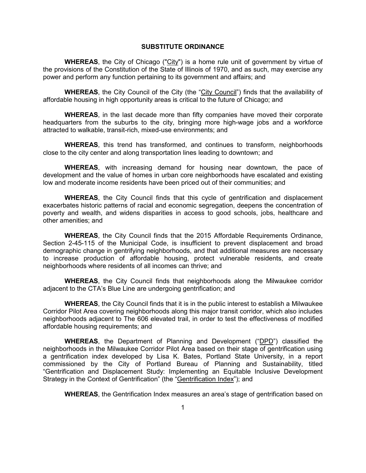## **SUBSTITUTE ORDINANCE**

**WHEREAS**, the City of Chicago ("City") is a home rule unit of government by virtue of the provisions of the Constitution of the State of Illinois of 1970, and as such, may exercise any power and perform any function pertaining to its government and affairs; and

**WHEREAS**, the City Council of the City (the "City Council") finds that the availability of affordable housing in high opportunity areas is critical to the future of Chicago; and

**WHEREAS**, in the last decade more than fifty companies have moved their corporate headquarters from the suburbs to the city, bringing more high-wage jobs and a workforce attracted to walkable, transit-rich, mixed-use environments; and

**WHEREAS**, this trend has transformed, and continues to transform, neighborhoods close to the city center and along transportation lines leading to downtown; and

**WHEREAS**, with increasing demand for housing near downtown, the pace of development and the value of homes in urban core neighborhoods have escalated and existing low and moderate income residents have been priced out of their communities; and

**WHEREAS**, the City Council finds that this cycle of gentrification and displacement exacerbates historic patterns of racial and economic segregation, deepens the concentration of poverty and wealth, and widens disparities in access to good schools, jobs, healthcare and other amenities; and

**WHEREAS**, the City Council finds that the 2015 Affordable Requirements Ordinance, Section 2-45-115 of the Municipal Code, is insufficient to prevent displacement and broad demographic change in gentrifying neighborhoods, and that additional measures are necessary to increase production of affordable housing, protect vulnerable residents, and create neighborhoods where residents of all incomes can thrive; and

**WHEREAS**, the City Council finds that neighborhoods along the Milwaukee corridor adjacent to the CTA's Blue Line are undergoing gentrification; and

**WHEREAS**, the City Council finds that it is in the public interest to establish a Milwaukee Corridor Pilot Area covering neighborhoods along this major transit corridor, which also includes neighborhoods adjacent to The 606 elevated trail, in order to test the effectiveness of modified affordable housing requirements; and

**WHEREAS**, the Department of Planning and Development ("DPD") classified the neighborhoods in the Milwaukee Corridor Pilot Area based on their stage of gentrification using a gentrification index developed by Lisa K. Bates, Portland State University, in a report commissioned by the City of Portland Bureau of Planning and Sustainability, titled "Gentrification and Displacement Study: Implementing an Equitable Inclusive Development Strategy in the Context of Gentrification" (the "Gentrification Index"); and

**WHEREAS**, the Gentrification Index measures an area's stage of gentrification based on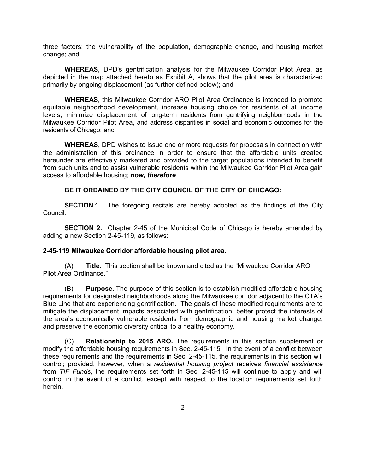three factors: the vulnerability of the population, demographic change, and housing market change; and

**WHEREAS**, DPD's gentrification analysis for the Milwaukee Corridor Pilot Area, as depicted in the map attached hereto as Exhibit A, shows that the pilot area is characterized primarily by ongoing displacement (as further defined below); and

**WHEREAS**, this Milwaukee Corridor ARO Pilot Area Ordinance is intended to promote equitable neighborhood development, increase housing choice for residents of all income levels, minimize displacement of long-term residents from gentrifying neighborhoods in the Milwaukee Corridor Pilot Area, and address disparities in social and economic outcomes for the residents of Chicago; and

**WHEREAS**, DPD wishes to issue one or more requests for proposals in connection with the administration of this ordinance in order to ensure that the affordable units created hereunder are effectively marketed and provided to the target populations intended to benefit from such units and to assist vulnerable residents within the Milwaukee Corridor Pilot Area gain access to affordable housing; *now, therefore*

## **BE IT ORDAINED BY THE CITY COUNCIL OF THE CITY OF CHICAGO:**

**SECTION 1.** The foregoing recitals are hereby adopted as the findings of the City Council.

**SECTION 2.** Chapter 2-45 of the Municipal Code of Chicago is hereby amended by adding a new Section 2-45-119, as follows:

#### **2-45-119 Milwaukee Corridor affordable housing pilot area.**

(A) **Title**. This section shall be known and cited as the "Milwaukee Corridor ARO Pilot Area Ordinance."

(B) **Purpose**. The purpose of this section is to establish modified affordable housing requirements for designated neighborhoods along the Milwaukee corridor adjacent to the CTA's Blue Line that are experiencing gentrification. The goals of these modified requirements are to mitigate the displacement impacts associated with gentrification, better protect the interests of the area's economically vulnerable residents from demographic and housing market change, and preserve the economic diversity critical to a healthy economy.

(C) **Relationship to 2015 ARO.** The requirements in this section supplement or modify the affordable housing requirements in Sec. 2-45-115. In the event of a conflict between these requirements and the requirements in Sec. 2-45-115, the requirements in this section will control; provided, however, when a *residential housing project* receives *financial assistance* from *TIF Funds*, the requirements set forth in Sec. 2-45-115 will continue to apply and will control in the event of a conflict, except with respect to the location requirements set forth herein.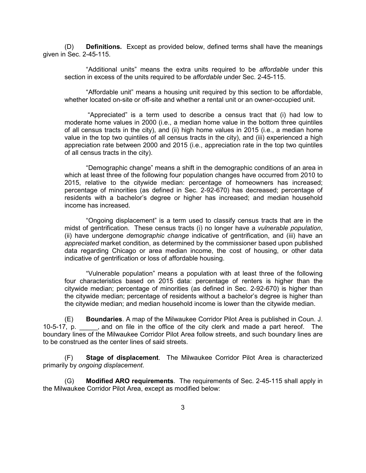(D) **Definitions.** Except as provided below, defined terms shall have the meanings given in Sec. 2-45-115.

"Additional units" means the extra units required to be *affordable* under this section in excess of the units required to be *affordable* under Sec. 2-45-115.

"Affordable unit" means a housing unit required by this section to be affordable, whether located on-site or off-site and whether a rental unit or an owner-occupied unit.

 "Appreciated" is a term used to describe a census tract that (i) had low to moderate home values in 2000 (i.e., a median home value in the bottom three quintiles of all census tracts in the city), and (ii) high home values in 2015 (i.e., a median home value in the top two quintiles of all census tracts in the city), and (iii) experienced a high appreciation rate between 2000 and 2015 (i.e., appreciation rate in the top two quintiles of all census tracts in the city).

"Demographic change" means a shift in the demographic conditions of an area in which at least three of the following four population changes have occurred from 2010 to 2015, relative to the citywide median: percentage of homeowners has increased; percentage of minorities (as defined in Sec. 2-92-670) has decreased; percentage of residents with a bachelor's degree or higher has increased; and median household income has increased.

"Ongoing displacement" is a term used to classify census tracts that are in the midst of gentrification. These census tracts (i) no longer have a *vulnerable population*, (ii) have undergone *demographic change* indicative of gentrification, and (iii) have an *appreciated* market condition, as determined by the commissioner based upon published data regarding Chicago or area median income, the cost of housing, or other data indicative of gentrification or loss of affordable housing.

"Vulnerable population" means a population with at least three of the following four characteristics based on 2015 data: percentage of renters is higher than the citywide median; percentage of minorities (as defined in Sec. 2-92-670) is higher than the citywide median; percentage of residents without a bachelor's degree is higher than the citywide median; and median household income is lower than the citywide median.

(E) **Boundaries**. A map of the Milwaukee Corridor Pilot Area is published in Coun. J. 10-5-17, p. \_\_\_\_\_, and on file in the office of the city clerk and made a part hereof. The boundary lines of the Milwaukee Corridor Pilot Area follow streets, and such boundary lines are to be construed as the center lines of said streets.

(F) **Stage of displacement**. The Milwaukee Corridor Pilot Area is characterized primarily by *ongoing displacement*.

(G) **Modified ARO requirements**. The requirements of Sec. 2-45-115 shall apply in the Milwaukee Corridor Pilot Area, except as modified below: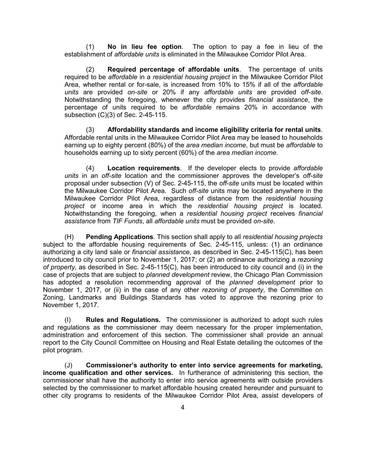(1) **No in lieu fee option**. The option to pay a fee in lieu of the establishment of *affordable units* is eliminated in the Milwaukee Corridor Pilot Area.

(2) **Required percentage of affordable units**. The percentage of units required to be *affordable* in a *residential housing project* in the Milwaukee Corridor Pilot Area, whether rental or for-sale, is increased from 10% to 15% if all of the *affordable units* are provided *on-site* or 20% if any *affordable units* are provided *off-site*. Notwithstanding the foregoing, whenever the city provides *financial assistance*, the percentage of units required to be *affordable* remains 20% in accordance with subsection (C)(3) of Sec. 2-45-115.

(3) **Affordability standards and income eligibility criteria for rental units**. Affordable rental units in the Milwaukee Corridor Pilot Area may be leased to households earning up to eighty percent (80%) of the *area median income*, but must be *affordable* to households earning up to sixty percent (60%) of the *area median income*.

(4) **Location requirements**. If the developer elects to provide *affordable units* in an *off-site* location and the commissioner approves the developer's *off-site* proposal under subsection (V) of Sec. 2-45-115, the *off-site* units must be located within the Milwaukee Corridor Pilot Area. Such *off-site* units may be located anywhere in the Milwaukee Corridor Pilot Area, regardless of distance from the *residential housing project* or income area in which the *residential housing project* is located. Notwithstanding the foregoing, when a *residential housing project* receives *financial assistance* from *TIF Funds*, all *affordable units* must be provided *on-site*.

(H) **Pending Applications**. This section shall apply to all *residential housing projects* subject to the affordable housing requirements of Sec. 2-45-115, unless: (1) an ordinance authorizing a city land sale or *financial assistance*, as described in Sec. 2-45-115(C), has been introduced to city council prior to November 1, 2017; or (2) an ordinance authorizing a *rezoning of property*, as described in Sec. 2-45-115(C), has been introduced to city council and (i) in the case of projects that are subject to *planned development* review, the Chicago Plan Commission has adopted a resolution recommending approval of the *planned development* prior to November 1, 2017, or (ii) in the case of any other *rezoning of property*, the Committee on Zoning, Landmarks and Buildings Standards has voted to approve the rezoning prior to November 1, 2017.

(I) **Rules and Regulations.** The commissioner is authorized to adopt such rules and regulations as the commissioner may deem necessary for the proper implementation, administration and enforcement of this section. The commissioner shall provide an annual report to the City Council Committee on Housing and Real Estate detailing the outcomes of the pilot program.

(J) **Commissioner's authority to enter into service agreements for marketing, income qualification and other services.** In furtherance of administering this section, the commissioner shall have the authority to enter into service agreements with outside providers selected by the commissioner to market affordable housing created hereunder and pursuant to other city programs to residents of the Milwaukee Corridor Pilot Area, assist developers of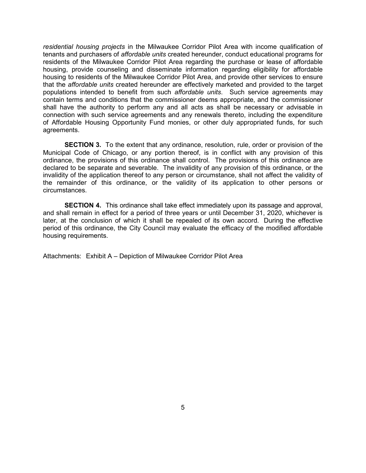*residential housing projects* in the Milwaukee Corridor Pilot Area with income qualification of tenants and purchasers of *affordable units* created hereunder, conduct educational programs for residents of the Milwaukee Corridor Pilot Area regarding the purchase or lease of affordable housing, provide counseling and disseminate information regarding eligibility for affordable housing to residents of the Milwaukee Corridor Pilot Area, and provide other services to ensure that the *affordable units* created hereunder are effectively marketed and provided to the target populations intended to benefit from such *affordable units*. Such service agreements may contain terms and conditions that the commissioner deems appropriate, and the commissioner shall have the authority to perform any and all acts as shall be necessary or advisable in connection with such service agreements and any renewals thereto, including the expenditure of Affordable Housing Opportunity Fund monies, or other duly appropriated funds, for such agreements.

**SECTION 3.** To the extent that any ordinance, resolution, rule, order or provision of the Municipal Code of Chicago, or any portion thereof, is in conflict with any provision of this ordinance, the provisions of this ordinance shall control. The provisions of this ordinance are declared to be separate and severable. The invalidity of any provision of this ordinance, or the invalidity of the application thereof to any person or circumstance, shall not affect the validity of the remainder of this ordinance, or the validity of its application to other persons or circumstances.

**SECTION 4.** This ordinance shall take effect immediately upon its passage and approval, and shall remain in effect for a period of three years or until December 31, 2020, whichever is later, at the conclusion of which it shall be repealed of its own accord. During the effective period of this ordinance, the City Council may evaluate the efficacy of the modified affordable housing requirements.

Attachments: Exhibit A – Depiction of Milwaukee Corridor Pilot Area